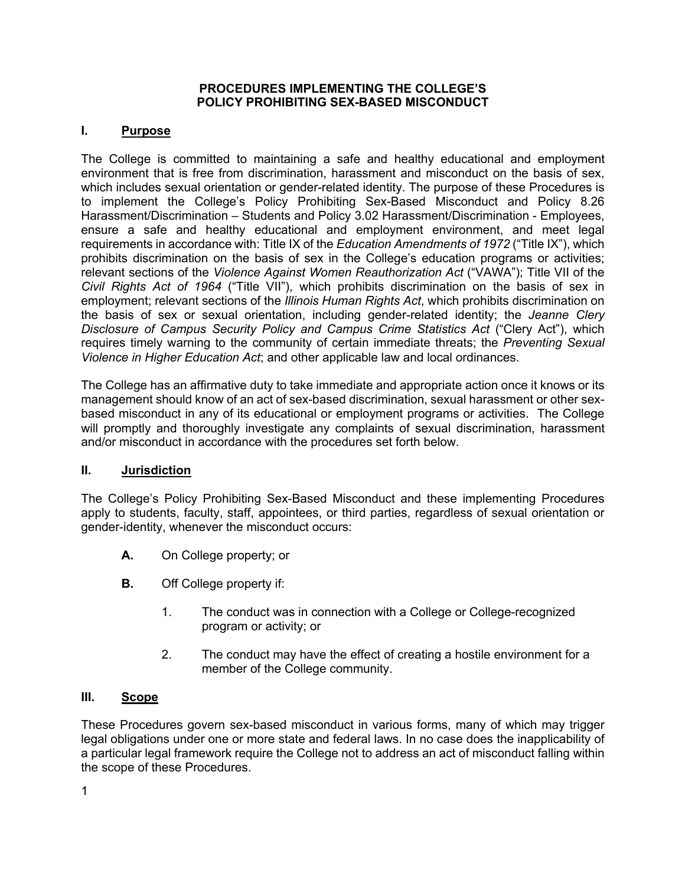#### **PROCEDURES IMPLEMENTING THE COLLEGE'S POLICY PROHIBITING SEX-BASED MISCONDUCT**

### **I. Purpose**

The College is committed to maintaining a safe and healthy educational and employment environment that is free from discrimination, harassment and misconduct on the basis of sex, which includes sexual orientation or gender-related identity. The purpose of these Procedures is to implement the College's Policy Prohibiting Sex-Based Misconduct and Policy 8.26 Harassment/Discrimination – Students and Policy 3.02 Harassment/Discrimination - Employees, ensure a safe and healthy educational and employment environment, and meet legal requirements in accordance with: Title IX of the *Education Amendments of 1972* ("Title IX"), which prohibits discrimination on the basis of sex in the College's education programs or activities; relevant sections of the *Violence Against Women Reauthorization Act* ("VAWA"); Title VII of the *Civil Rights Act of 1964* ("Title VII"), which prohibits discrimination on the basis of sex in employment; relevant sections of the *Illinois Human Rights Act*, which prohibits discrimination on the basis of sex or sexual orientation, including gender-related identity; the *Jeanne Clery Disclosure of Campus Security Policy and Campus Crime Statistics Act* ("Clery Act"), which requires timely warning to the community of certain immediate threats; the *Preventing Sexual Violence in Higher Education Act*; and other applicable law and local ordinances.

The College has an affirmative duty to take immediate and appropriate action once it knows or its management should know of an act of sex-based discrimination, sexual harassment or other sexbased misconduct in any of its educational or employment programs or activities. The College will promptly and thoroughly investigate any complaints of sexual discrimination, harassment and/or misconduct in accordance with the procedures set forth below.

### **II. Jurisdiction**

The College's Policy Prohibiting Sex-Based Misconduct and these implementing Procedures apply to students, faculty, staff, appointees, or third parties, regardless of sexual orientation or gender-identity, whenever the misconduct occurs:

- **A.** On College property; or
- **B.** Off College property if:
	- 1. The conduct was in connection with a College or College-recognized program or activity; or
	- 2. The conduct may have the effect of creating a hostile environment for a member of the College community.

### **III. Scope**

These Procedures govern sex-based misconduct in various forms, many of which may trigger legal obligations under one or more state and federal laws. In no case does the inapplicability of a particular legal framework require the College not to address an act of misconduct falling within the scope of these Procedures.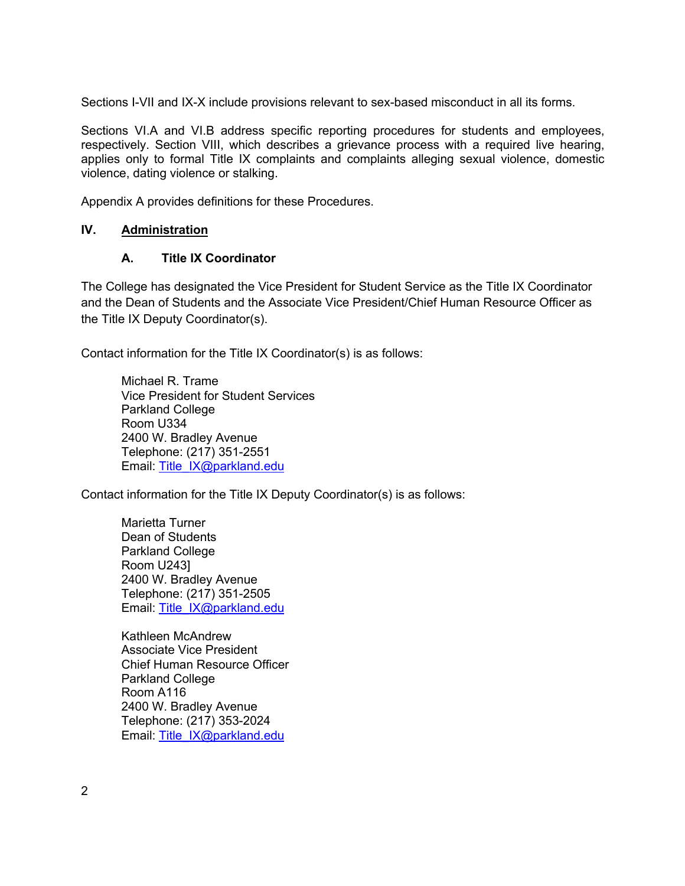Sections I-VII and IX-X include provisions relevant to sex-based misconduct in all its forms.

Sections VI.A and VI.B address specific reporting procedures for students and employees, respectively. Section VIII, which describes a grievance process with a required live hearing, applies only to formal Title IX complaints and complaints alleging sexual violence, domestic violence, dating violence or stalking.

Appendix A provides definitions for these Procedures.

### **IV. Administration**

### **A. Title IX Coordinator**

The College has designated the Vice President for Student Service as the Title IX Coordinator and the Dean of Students and the Associate Vice President/Chief Human Resource Officer as the Title IX Deputy Coordinator(s).

Contact information for the Title IX Coordinator(s) is as follows:

Michael R. Trame Vice President for Student Services Parkland College Room U334 2400 W. Bradley Avenue Telephone: (217) 351-2551 Email: Title\_IX@parkland.edu

Contact information for the Title IX Deputy Coordinator(s) is as follows:

Marietta Turner Dean of Students Parkland College Room U243] 2400 W. Bradley Avenue Telephone: (217) 351-2505 Email: Title\_IX@parkland.edu

Kathleen McAndrew Associate Vice President Chief Human Resource Officer Parkland College Room A116 2400 W. Bradley Avenue Telephone: (217) 353-2024 Email: Title\_IX@parkland.edu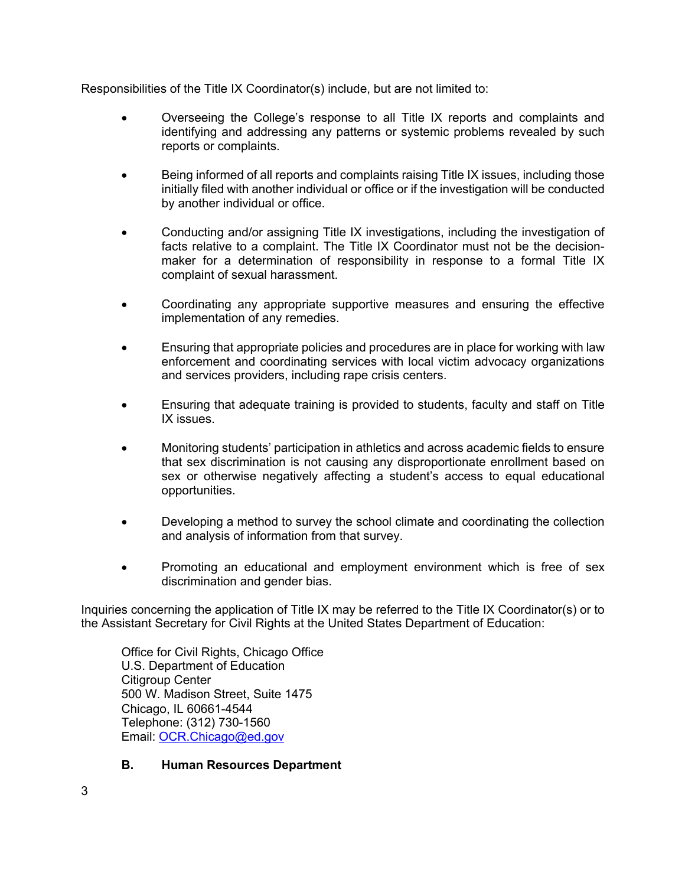Responsibilities of the Title IX Coordinator(s) include, but are not limited to:

- Overseeing the College's response to all Title IX reports and complaints and identifying and addressing any patterns or systemic problems revealed by such reports or complaints.
- Being informed of all reports and complaints raising Title IX issues, including those initially filed with another individual or office or if the investigation will be conducted by another individual or office.
- Conducting and/or assigning Title IX investigations, including the investigation of facts relative to a complaint. The Title IX Coordinator must not be the decisionmaker for a determination of responsibility in response to a formal Title IX complaint of sexual harassment.
- Coordinating any appropriate supportive measures and ensuring the effective implementation of any remedies.
- Ensuring that appropriate policies and procedures are in place for working with law enforcement and coordinating services with local victim advocacy organizations and services providers, including rape crisis centers.
- Ensuring that adequate training is provided to students, faculty and staff on Title IX issues.
- Monitoring students' participation in athletics and across academic fields to ensure that sex discrimination is not causing any disproportionate enrollment based on sex or otherwise negatively affecting a student's access to equal educational opportunities.
- Developing a method to survey the school climate and coordinating the collection and analysis of information from that survey.
- Promoting an educational and employment environment which is free of sex discrimination and gender bias.

Inquiries concerning the application of Title IX may be referred to the Title IX Coordinator(s) or to the Assistant Secretary for Civil Rights at the United States Department of Education:

Office for Civil Rights, Chicago Office U.S. Department of Education Citigroup Center 500 W. Madison Street, Suite 1475 Chicago, IL 60661-4544 Telephone: (312) 730-1560 Email: OCR.Chicago@ed.gov

## **B. Human Resources Department**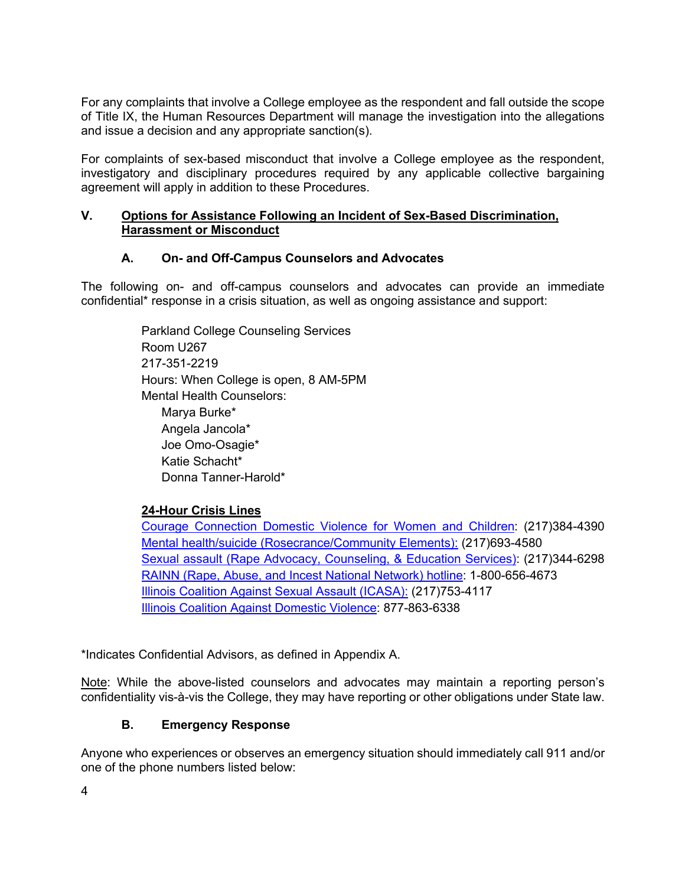For any complaints that involve a College employee as the respondent and fall outside the scope of Title IX, the Human Resources Department will manage the investigation into the allegations and issue a decision and any appropriate sanction(s).

For complaints of sex-based misconduct that involve a College employee as the respondent, investigatory and disciplinary procedures required by any applicable collective bargaining agreement will apply in addition to these Procedures.

### **V. Options for Assistance Following an Incident of Sex-Based Discrimination, Harassment or Misconduct**

### **A. On- and Off-Campus Counselors and Advocates**

The following on- and off-campus counselors and advocates can provide an immediate confidential\* response in a crisis situation, as well as ongoing assistance and support:

> Parkland College Counseling Services Room U267 217-351-2219 Hours: When College is open, 8 AM-5PM Mental Health Counselors: Marya Burke\* Angela Jancola\* Joe Omo-Osagie\* Katie Schacht\* Donna Tanner-Harold\*

## **24-Hour Crisis Lines**

Courage Connection Domestic Violence for Women and Children: (217)384-4390 Mental health/suicide (Rosecrance/Community Elements): (217)693-4580 Sexual assault (Rape Advocacy, Counseling, & Education Services): (217)344-6298 RAINN (Rape, Abuse, and Incest National Network) hotline: 1-800-656-4673 Illinois Coalition Against Sexual Assault (ICASA): (217)753-4117 Illinois Coalition Against Domestic Violence: 877-863-6338

\*Indicates Confidential Advisors, as defined in Appendix A.

Note: While the above-listed counselors and advocates may maintain a reporting person's confidentiality vis-à-vis the College, they may have reporting or other obligations under State law.

### **B. Emergency Response**

Anyone who experiences or observes an emergency situation should immediately call 911 and/or one of the phone numbers listed below: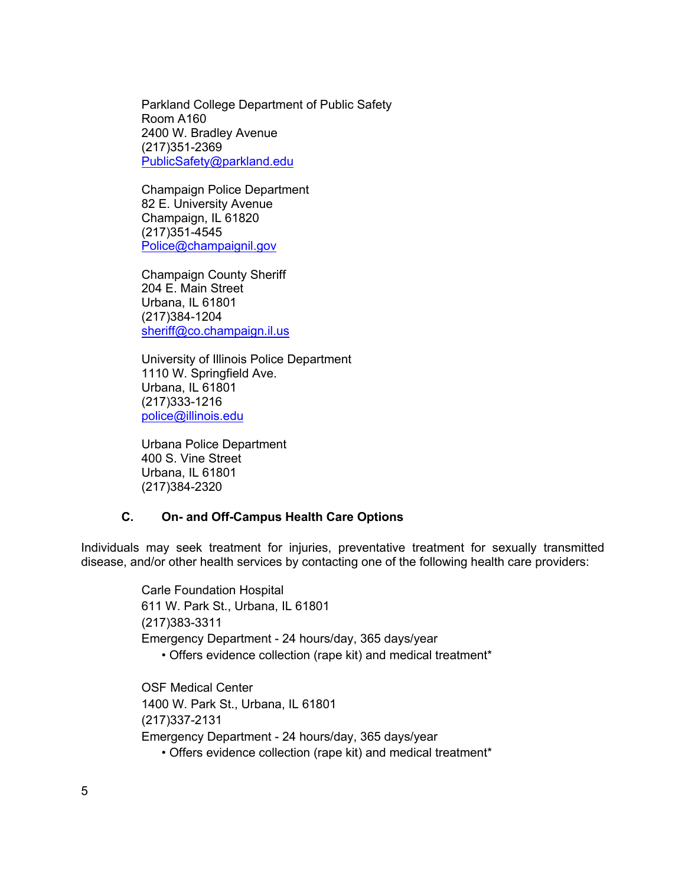Parkland College Department of Public Safety Room A160 2400 W. Bradley Avenue (217)351-2369 PublicSafety@parkland.edu

Champaign Police Department 82 E. University Avenue Champaign, IL 61820 (217)351-4545 Police@champaignil.gov

Champaign County Sheriff 204 E. Main Street Urbana, IL 61801 (217)384-1204 sheriff@co.champaign.il.us

University of Illinois Police Department 1110 W. Springfield Ave. Urbana, IL 61801 (217)333-1216 police@illinois.edu

Urbana Police Department 400 S. Vine Street Urbana, IL 61801 (217)384-2320

### **C. On- and Off-Campus Health Care Options**

Individuals may seek treatment for injuries, preventative treatment for sexually transmitted disease, and/or other health services by contacting one of the following health care providers:

> Carle Foundation Hospital 611 W. Park St., Urbana, IL 61801 (217)383-3311 Emergency Department - 24 hours/day, 365 days/year • Offers evidence collection (rape kit) and medical treatment\*

OSF Medical Center 1400 W. Park St., Urbana, IL 61801 (217)337-2131 Emergency Department - 24 hours/day, 365 days/year • Offers evidence collection (rape kit) and medical treatment\*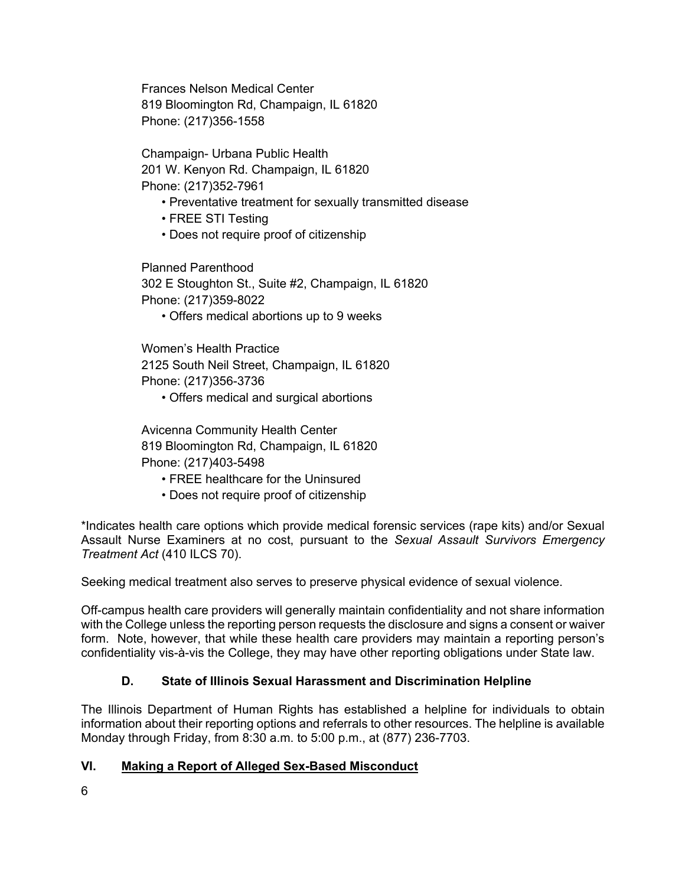Frances Nelson Medical Center 819 Bloomington Rd, Champaign, IL 61820 Phone: (217)356-1558

Champaign- Urbana Public Health 201 W. Kenyon Rd. Champaign, IL 61820 Phone: (217)352-7961

- Preventative treatment for sexually transmitted disease
- FREE STI Testing
- Does not require proof of citizenship

Planned Parenthood 302 E Stoughton St., Suite #2, Champaign, IL 61820 Phone: (217)359-8022

• Offers medical abortions up to 9 weeks

Women's Health Practice 2125 South Neil Street, Champaign, IL 61820 Phone: (217)356-3736

• Offers medical and surgical abortions

Avicenna Community Health Center 819 Bloomington Rd, Champaign, IL 61820 Phone: (217)403-5498

- FREE healthcare for the Uninsured
- Does not require proof of citizenship

\*Indicates health care options which provide medical forensic services (rape kits) and/or Sexual Assault Nurse Examiners at no cost, pursuant to the *Sexual Assault Survivors Emergency Treatment Act* (410 ILCS 70).

Seeking medical treatment also serves to preserve physical evidence of sexual violence.

Off-campus health care providers will generally maintain confidentiality and not share information with the College unless the reporting person requests the disclosure and signs a consent or waiver form. Note, however, that while these health care providers may maintain a reporting person's confidentiality vis-à-vis the College, they may have other reporting obligations under State law.

### **D. State of Illinois Sexual Harassment and Discrimination Helpline**

The Illinois Department of Human Rights has established a helpline for individuals to obtain information about their reporting options and referrals to other resources. The helpline is available Monday through Friday, from 8:30 a.m. to 5:00 p.m., at (877) 236-7703.

### **VI. Making a Report of Alleged Sex-Based Misconduct**

6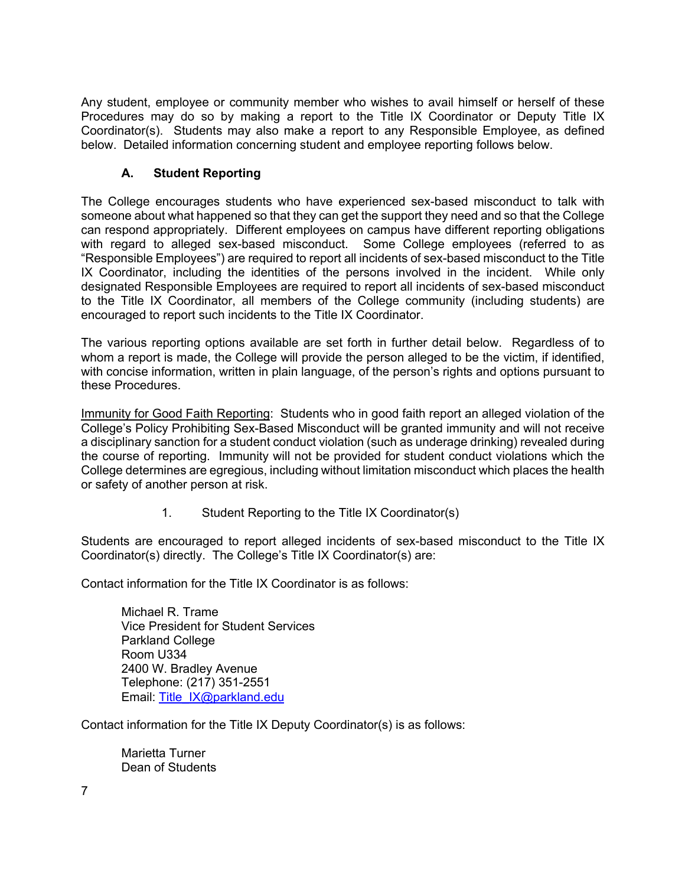Any student, employee or community member who wishes to avail himself or herself of these Procedures may do so by making a report to the Title IX Coordinator or Deputy Title IX Coordinator(s). Students may also make a report to any Responsible Employee, as defined below. Detailed information concerning student and employee reporting follows below.

## **A. Student Reporting**

The College encourages students who have experienced sex-based misconduct to talk with someone about what happened so that they can get the support they need and so that the College can respond appropriately. Different employees on campus have different reporting obligations with regard to alleged sex-based misconduct. Some College employees (referred to as "Responsible Employees") are required to report all incidents of sex-based misconduct to the Title IX Coordinator, including the identities of the persons involved in the incident. While only designated Responsible Employees are required to report all incidents of sex-based misconduct to the Title IX Coordinator, all members of the College community (including students) are encouraged to report such incidents to the Title IX Coordinator.

The various reporting options available are set forth in further detail below. Regardless of to whom a report is made, the College will provide the person alleged to be the victim, if identified, with concise information, written in plain language, of the person's rights and options pursuant to these Procedures.

Immunity for Good Faith Reporting: Students who in good faith report an alleged violation of the College's Policy Prohibiting Sex-Based Misconduct will be granted immunity and will not receive a disciplinary sanction for a student conduct violation (such as underage drinking) revealed during the course of reporting. Immunity will not be provided for student conduct violations which the College determines are egregious, including without limitation misconduct which places the health or safety of another person at risk.

1. Student Reporting to the Title IX Coordinator(s)

Students are encouraged to report alleged incidents of sex-based misconduct to the Title IX Coordinator(s) directly. The College's Title IX Coordinator(s) are:

Contact information for the Title IX Coordinator is as follows:

Michael R. Trame Vice President for Student Services Parkland College Room U334 2400 W. Bradley Avenue Telephone: (217) 351-2551 Email: Title\_IX@parkland.edu

Contact information for the Title IX Deputy Coordinator(s) is as follows:

Marietta Turner Dean of Students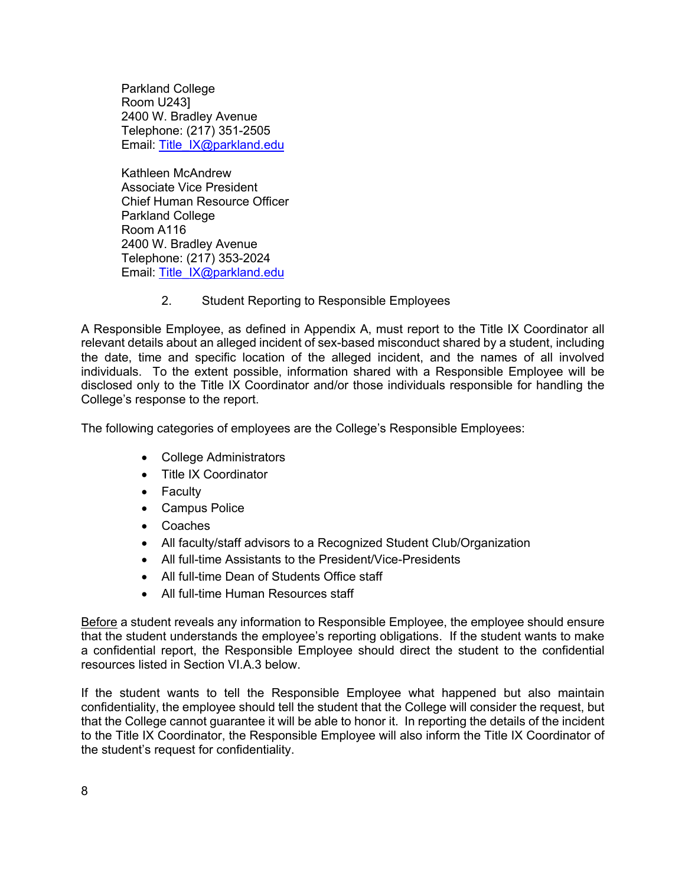Parkland College Room U243] 2400 W. Bradley Avenue Telephone: (217) 351-2505 Email: Title\_IX@parkland.edu

Kathleen McAndrew Associate Vice President Chief Human Resource Officer Parkland College Room A116 2400 W. Bradley Avenue Telephone: (217) 353-2024 Email: Title\_IX@parkland.edu

2. Student Reporting to Responsible Employees

A Responsible Employee, as defined in Appendix A, must report to the Title IX Coordinator all relevant details about an alleged incident of sex-based misconduct shared by a student, including the date, time and specific location of the alleged incident, and the names of all involved individuals. To the extent possible, information shared with a Responsible Employee will be disclosed only to the Title IX Coordinator and/or those individuals responsible for handling the College's response to the report.

The following categories of employees are the College's Responsible Employees:

- College Administrators
- Title IX Coordinator
- Faculty
- Campus Police
- Coaches
- All faculty/staff advisors to a Recognized Student Club/Organization
- All full-time Assistants to the President/Vice-Presidents
- All full-time Dean of Students Office staff
- All full-time Human Resources staff

Before a student reveals any information to Responsible Employee, the employee should ensure that the student understands the employee's reporting obligations. If the student wants to make a confidential report, the Responsible Employee should direct the student to the confidential resources listed in Section VI.A.3 below.

If the student wants to tell the Responsible Employee what happened but also maintain confidentiality, the employee should tell the student that the College will consider the request, but that the College cannot guarantee it will be able to honor it. In reporting the details of the incident to the Title IX Coordinator, the Responsible Employee will also inform the Title IX Coordinator of the student's request for confidentiality.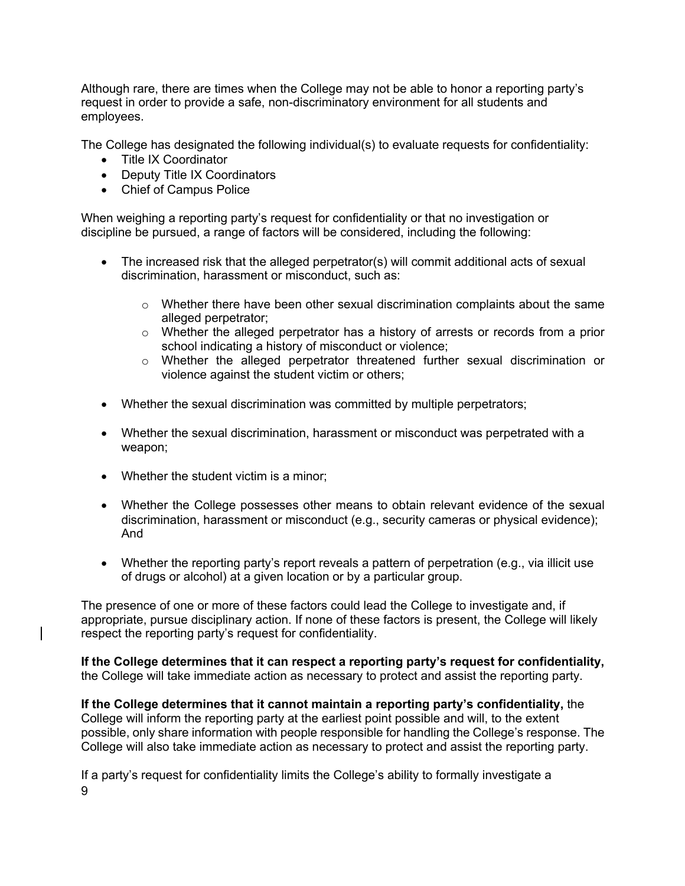Although rare, there are times when the College may not be able to honor a reporting party's request in order to provide a safe, non-discriminatory environment for all students and employees.

The College has designated the following individual(s) to evaluate requests for confidentiality:

- Title IX Coordinator
- Deputy Title IX Coordinators
- Chief of Campus Police

When weighing a reporting party's request for confidentiality or that no investigation or discipline be pursued, a range of factors will be considered, including the following:

- The increased risk that the alleged perpetrator(s) will commit additional acts of sexual discrimination, harassment or misconduct, such as:
	- $\circ$  Whether there have been other sexual discrimination complaints about the same alleged perpetrator;
	- o Whether the alleged perpetrator has a history of arrests or records from a prior school indicating a history of misconduct or violence;
	- o Whether the alleged perpetrator threatened further sexual discrimination or violence against the student victim or others;
- Whether the sexual discrimination was committed by multiple perpetrators;
- Whether the sexual discrimination, harassment or misconduct was perpetrated with a weapon;
- Whether the student victim is a minor;
- Whether the College possesses other means to obtain relevant evidence of the sexual discrimination, harassment or misconduct (e.g., security cameras or physical evidence); And
- Whether the reporting party's report reveals a pattern of perpetration (e.g., via illicit use of drugs or alcohol) at a given location or by a particular group.

The presence of one or more of these factors could lead the College to investigate and, if appropriate, pursue disciplinary action. If none of these factors is present, the College will likely respect the reporting party's request for confidentiality.

**If the College determines that it can respect a reporting party's request for confidentiality,** the College will take immediate action as necessary to protect and assist the reporting party.

**If the College determines that it cannot maintain a reporting party's confidentiality,** the College will inform the reporting party at the earliest point possible and will, to the extent possible, only share information with people responsible for handling the College's response. The College will also take immediate action as necessary to protect and assist the reporting party.

9 If a party's request for confidentiality limits the College's ability to formally investigate a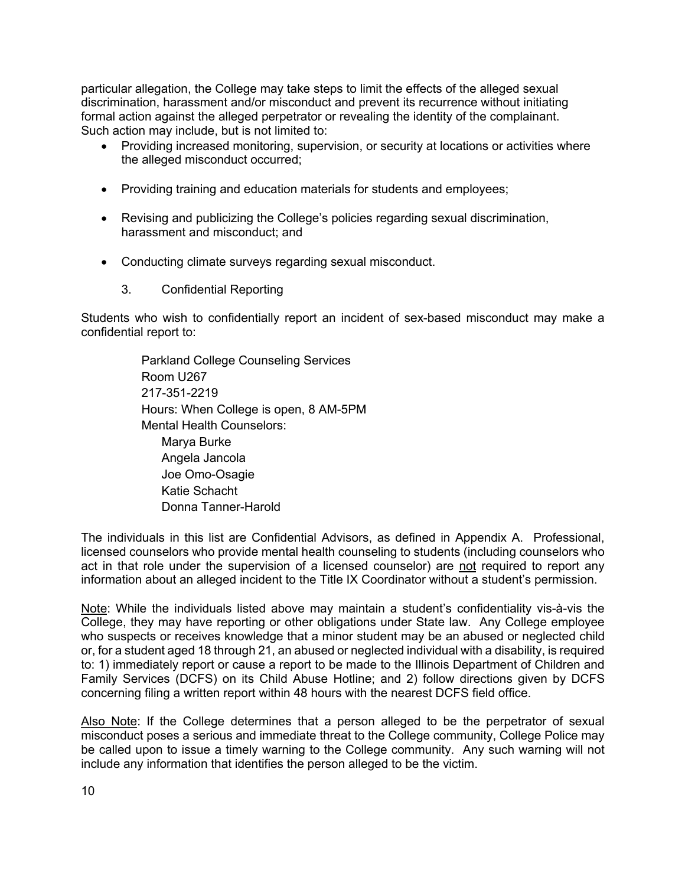particular allegation, the College may take steps to limit the effects of the alleged sexual discrimination, harassment and/or misconduct and prevent its recurrence without initiating formal action against the alleged perpetrator or revealing the identity of the complainant. Such action may include, but is not limited to:

- Providing increased monitoring, supervision, or security at locations or activities where the alleged misconduct occurred;
- Providing training and education materials for students and employees;
- Revising and publicizing the College's policies regarding sexual discrimination, harassment and misconduct; and
- Conducting climate surveys regarding sexual misconduct.
	- 3. Confidential Reporting

Students who wish to confidentially report an incident of sex-based misconduct may make a confidential report to:

> Parkland College Counseling Services Room U267 217-351-2219 Hours: When College is open, 8 AM-5PM Mental Health Counselors: Marya Burke Angela Jancola Joe Omo-Osagie Katie Schacht Donna Tanner-Harold

The individuals in this list are Confidential Advisors, as defined in Appendix A. Professional, licensed counselors who provide mental health counseling to students (including counselors who act in that role under the supervision of a licensed counselor) are not required to report any information about an alleged incident to the Title IX Coordinator without a student's permission.

Note: While the individuals listed above may maintain a student's confidentiality vis-à-vis the College, they may have reporting or other obligations under State law. Any College employee who suspects or receives knowledge that a minor student may be an abused or neglected child or, for a student aged 18 through 21, an abused or neglected individual with a disability, is required to: 1) immediately report or cause a report to be made to the Illinois Department of Children and Family Services (DCFS) on its Child Abuse Hotline; and 2) follow directions given by DCFS concerning filing a written report within 48 hours with the nearest DCFS field office.

Also Note: If the College determines that a person alleged to be the perpetrator of sexual misconduct poses a serious and immediate threat to the College community, College Police may be called upon to issue a timely warning to the College community. Any such warning will not include any information that identifies the person alleged to be the victim.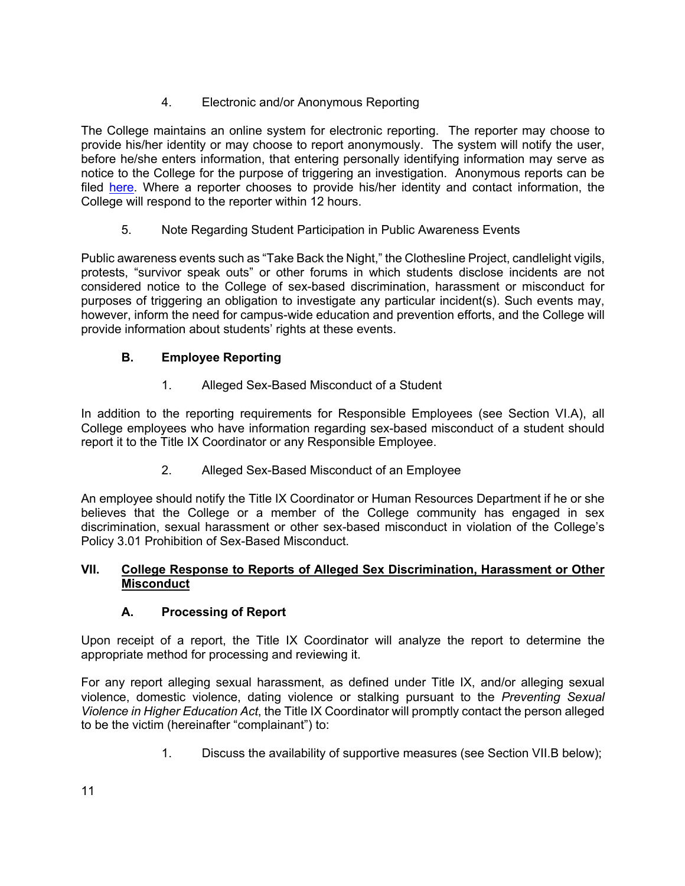# 4. Electronic and/or Anonymous Reporting

The College maintains an online system for electronic reporting. The reporter may choose to provide his/her identity or may choose to report anonymously. The system will notify the user, before he/she enters information, that entering personally identifying information may serve as notice to the College for the purpose of triggering an investigation. Anonymous reports can be filed here. Where a reporter chooses to provide his/her identity and contact information, the College will respond to the reporter within 12 hours.

5. Note Regarding Student Participation in Public Awareness Events

Public awareness events such as "Take Back the Night," the Clothesline Project, candlelight vigils, protests, "survivor speak outs" or other forums in which students disclose incidents are not considered notice to the College of sex-based discrimination, harassment or misconduct for purposes of triggering an obligation to investigate any particular incident(s). Such events may, however, inform the need for campus-wide education and prevention efforts, and the College will provide information about students' rights at these events.

# **B. Employee Reporting**

1. Alleged Sex-Based Misconduct of a Student

In addition to the reporting requirements for Responsible Employees (see Section VI.A), all College employees who have information regarding sex-based misconduct of a student should report it to the Title IX Coordinator or any Responsible Employee.

2. Alleged Sex-Based Misconduct of an Employee

An employee should notify the Title IX Coordinator or Human Resources Department if he or she believes that the College or a member of the College community has engaged in sex discrimination, sexual harassment or other sex-based misconduct in violation of the College's Policy 3.01 Prohibition of Sex-Based Misconduct.

## **VII. College Response to Reports of Alleged Sex Discrimination, Harassment or Other Misconduct**

# **A. Processing of Report**

Upon receipt of a report, the Title IX Coordinator will analyze the report to determine the appropriate method for processing and reviewing it.

For any report alleging sexual harassment, as defined under Title IX, and/or alleging sexual violence, domestic violence, dating violence or stalking pursuant to the *Preventing Sexual Violence in Higher Education Act*, the Title IX Coordinator will promptly contact the person alleged to be the victim (hereinafter "complainant") to:

1. Discuss the availability of supportive measures (see Section VII.B below);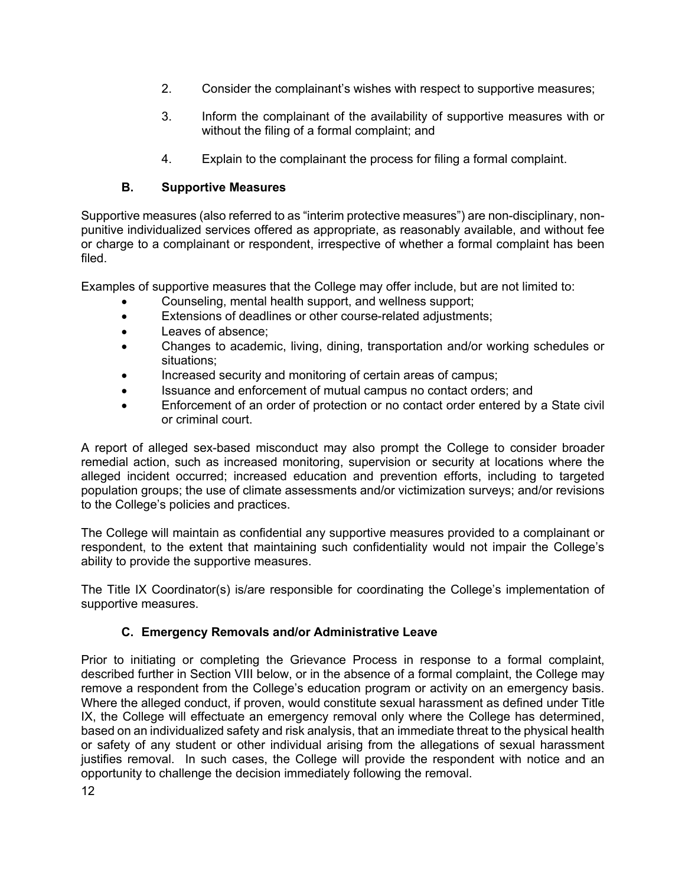- 2. Consider the complainant's wishes with respect to supportive measures;
- 3. Inform the complainant of the availability of supportive measures with or without the filing of a formal complaint; and
- 4. Explain to the complainant the process for filing a formal complaint.

# **B. Supportive Measures**

Supportive measures (also referred to as "interim protective measures") are non-disciplinary, nonpunitive individualized services offered as appropriate, as reasonably available, and without fee or charge to a complainant or respondent, irrespective of whether a formal complaint has been filed.

Examples of supportive measures that the College may offer include, but are not limited to:

- Counseling, mental health support, and wellness support;
- Extensions of deadlines or other course-related adjustments;
- Leaves of absence;
- Changes to academic, living, dining, transportation and/or working schedules or situations;
- Increased security and monitoring of certain areas of campus;
- Issuance and enforcement of mutual campus no contact orders; and
- Enforcement of an order of protection or no contact order entered by a State civil or criminal court.

A report of alleged sex-based misconduct may also prompt the College to consider broader remedial action, such as increased monitoring, supervision or security at locations where the alleged incident occurred; increased education and prevention efforts, including to targeted population groups; the use of climate assessments and/or victimization surveys; and/or revisions to the College's policies and practices.

The College will maintain as confidential any supportive measures provided to a complainant or respondent, to the extent that maintaining such confidentiality would not impair the College's ability to provide the supportive measures.

The Title IX Coordinator(s) is/are responsible for coordinating the College's implementation of supportive measures.

# **C. Emergency Removals and/or Administrative Leave**

Prior to initiating or completing the Grievance Process in response to a formal complaint, described further in Section VIII below, or in the absence of a formal complaint, the College may remove a respondent from the College's education program or activity on an emergency basis. Where the alleged conduct, if proven, would constitute sexual harassment as defined under Title IX, the College will effectuate an emergency removal only where the College has determined, based on an individualized safety and risk analysis, that an immediate threat to the physical health or safety of any student or other individual arising from the allegations of sexual harassment justifies removal. In such cases, the College will provide the respondent with notice and an opportunity to challenge the decision immediately following the removal.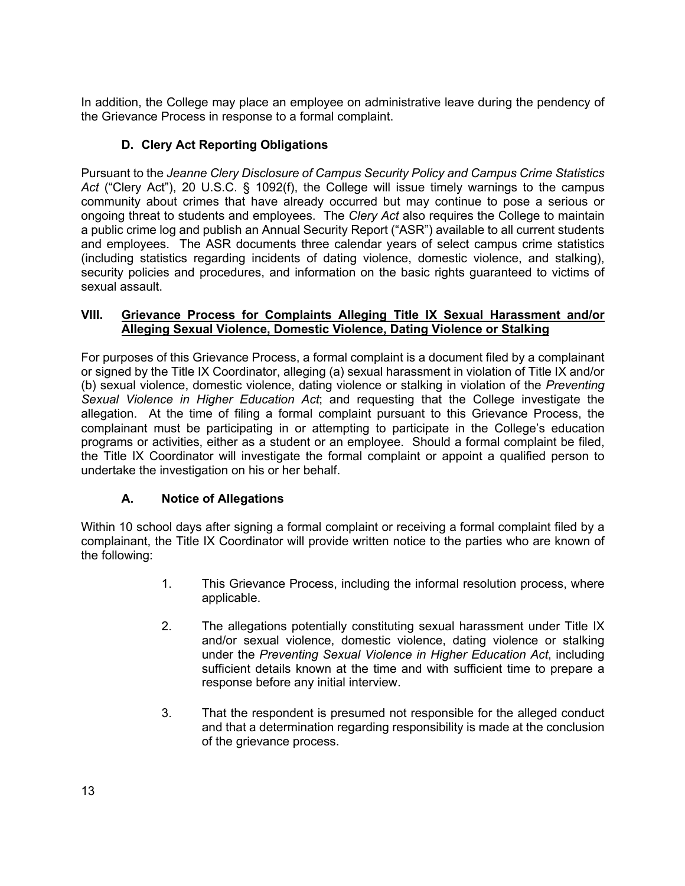In addition, the College may place an employee on administrative leave during the pendency of the Grievance Process in response to a formal complaint.

# **D. Clery Act Reporting Obligations**

Pursuant to the *Jeanne Clery Disclosure of Campus Security Policy and Campus Crime Statistics Act* ("Clery Act"), 20 U.S.C. § 1092(f), the College will issue timely warnings to the campus community about crimes that have already occurred but may continue to pose a serious or ongoing threat to students and employees. The *Clery Act* also requires the College to maintain a public crime log and publish an Annual Security Report ("ASR") available to all current students and employees. The ASR documents three calendar years of select campus crime statistics (including statistics regarding incidents of dating violence, domestic violence, and stalking), security policies and procedures, and information on the basic rights guaranteed to victims of sexual assault.

#### **VIII. Grievance Process for Complaints Alleging Title IX Sexual Harassment and/or Alleging Sexual Violence, Domestic Violence, Dating Violence or Stalking**

For purposes of this Grievance Process, a formal complaint is a document filed by a complainant or signed by the Title IX Coordinator, alleging (a) sexual harassment in violation of Title IX and/or (b) sexual violence, domestic violence, dating violence or stalking in violation of the *Preventing Sexual Violence in Higher Education Act*; and requesting that the College investigate the allegation. At the time of filing a formal complaint pursuant to this Grievance Process, the complainant must be participating in or attempting to participate in the College's education programs or activities, either as a student or an employee. Should a formal complaint be filed, the Title IX Coordinator will investigate the formal complaint or appoint a qualified person to undertake the investigation on his or her behalf.

## **A. Notice of Allegations**

Within 10 school days after signing a formal complaint or receiving a formal complaint filed by a complainant, the Title IX Coordinator will provide written notice to the parties who are known of the following:

- 1. This Grievance Process, including the informal resolution process, where applicable.
- 2. The allegations potentially constituting sexual harassment under Title IX and/or sexual violence, domestic violence, dating violence or stalking under the *Preventing Sexual Violence in Higher Education Act*, including sufficient details known at the time and with sufficient time to prepare a response before any initial interview.
- 3. That the respondent is presumed not responsible for the alleged conduct and that a determination regarding responsibility is made at the conclusion of the grievance process.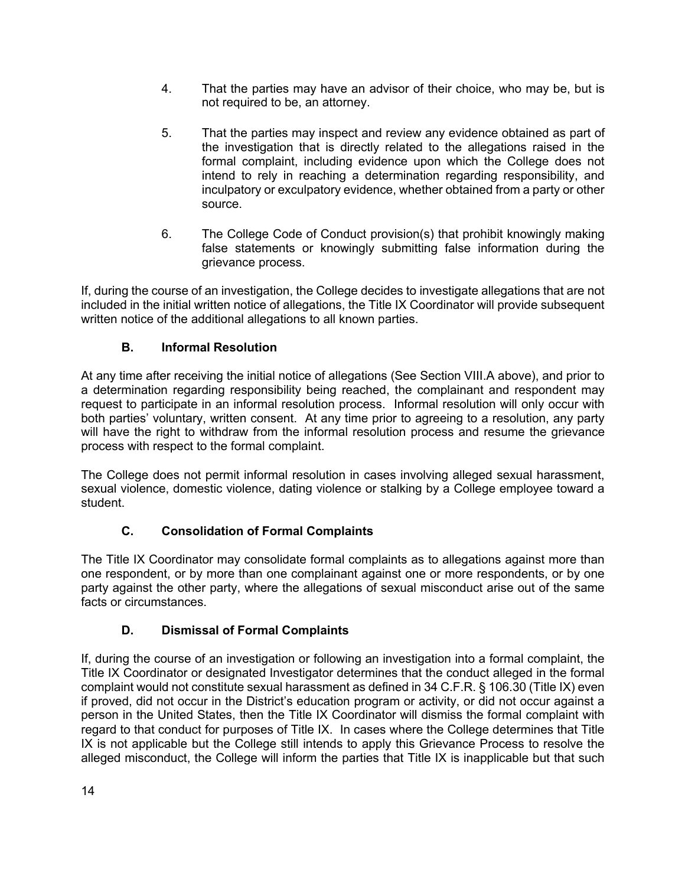- 4. That the parties may have an advisor of their choice, who may be, but is not required to be, an attorney.
- 5. That the parties may inspect and review any evidence obtained as part of the investigation that is directly related to the allegations raised in the formal complaint, including evidence upon which the College does not intend to rely in reaching a determination regarding responsibility, and inculpatory or exculpatory evidence, whether obtained from a party or other source.
- 6. The College Code of Conduct provision(s) that prohibit knowingly making false statements or knowingly submitting false information during the grievance process.

If, during the course of an investigation, the College decides to investigate allegations that are not included in the initial written notice of allegations, the Title IX Coordinator will provide subsequent written notice of the additional allegations to all known parties.

# **B. Informal Resolution**

At any time after receiving the initial notice of allegations (See Section VIII.A above), and prior to a determination regarding responsibility being reached, the complainant and respondent may request to participate in an informal resolution process. Informal resolution will only occur with both parties' voluntary, written consent. At any time prior to agreeing to a resolution, any party will have the right to withdraw from the informal resolution process and resume the grievance process with respect to the formal complaint.

The College does not permit informal resolution in cases involving alleged sexual harassment, sexual violence, domestic violence, dating violence or stalking by a College employee toward a student.

# **C. Consolidation of Formal Complaints**

The Title IX Coordinator may consolidate formal complaints as to allegations against more than one respondent, or by more than one complainant against one or more respondents, or by one party against the other party, where the allegations of sexual misconduct arise out of the same facts or circumstances.

# **D. Dismissal of Formal Complaints**

If, during the course of an investigation or following an investigation into a formal complaint, the Title IX Coordinator or designated Investigator determines that the conduct alleged in the formal complaint would not constitute sexual harassment as defined in 34 C.F.R. § 106.30 (Title IX) even if proved, did not occur in the District's education program or activity, or did not occur against a person in the United States, then the Title IX Coordinator will dismiss the formal complaint with regard to that conduct for purposes of Title IX. In cases where the College determines that Title IX is not applicable but the College still intends to apply this Grievance Process to resolve the alleged misconduct, the College will inform the parties that Title IX is inapplicable but that such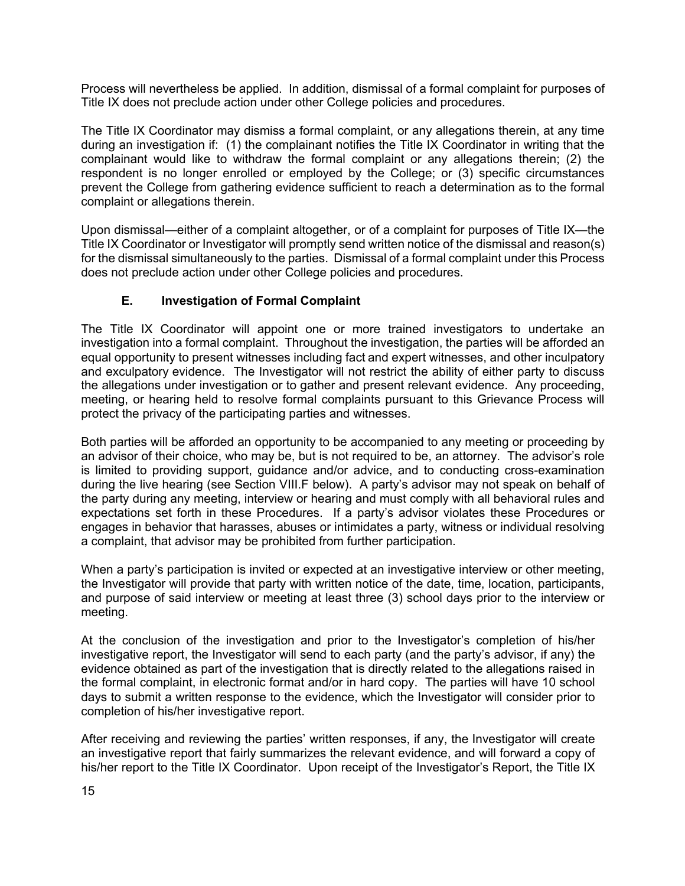Process will nevertheless be applied. In addition, dismissal of a formal complaint for purposes of Title IX does not preclude action under other College policies and procedures.

The Title IX Coordinator may dismiss a formal complaint, or any allegations therein, at any time during an investigation if: (1) the complainant notifies the Title IX Coordinator in writing that the complainant would like to withdraw the formal complaint or any allegations therein; (2) the respondent is no longer enrolled or employed by the College; or (3) specific circumstances prevent the College from gathering evidence sufficient to reach a determination as to the formal complaint or allegations therein.

Upon dismissal—either of a complaint altogether, or of a complaint for purposes of Title IX—the Title IX Coordinator or Investigator will promptly send written notice of the dismissal and reason(s) for the dismissal simultaneously to the parties. Dismissal of a formal complaint under this Process does not preclude action under other College policies and procedures.

## **E. Investigation of Formal Complaint**

The Title IX Coordinator will appoint one or more trained investigators to undertake an investigation into a formal complaint. Throughout the investigation, the parties will be afforded an equal opportunity to present witnesses including fact and expert witnesses, and other inculpatory and exculpatory evidence. The Investigator will not restrict the ability of either party to discuss the allegations under investigation or to gather and present relevant evidence. Any proceeding, meeting, or hearing held to resolve formal complaints pursuant to this Grievance Process will protect the privacy of the participating parties and witnesses.

Both parties will be afforded an opportunity to be accompanied to any meeting or proceeding by an advisor of their choice, who may be, but is not required to be, an attorney. The advisor's role is limited to providing support, guidance and/or advice, and to conducting cross-examination during the live hearing (see Section VIII.F below). A party's advisor may not speak on behalf of the party during any meeting, interview or hearing and must comply with all behavioral rules and expectations set forth in these Procedures. If a party's advisor violates these Procedures or engages in behavior that harasses, abuses or intimidates a party, witness or individual resolving a complaint, that advisor may be prohibited from further participation.

When a party's participation is invited or expected at an investigative interview or other meeting, the Investigator will provide that party with written notice of the date, time, location, participants, and purpose of said interview or meeting at least three (3) school days prior to the interview or meeting.

At the conclusion of the investigation and prior to the Investigator's completion of his/her investigative report, the Investigator will send to each party (and the party's advisor, if any) the evidence obtained as part of the investigation that is directly related to the allegations raised in the formal complaint, in electronic format and/or in hard copy. The parties will have 10 school days to submit a written response to the evidence, which the Investigator will consider prior to completion of his/her investigative report.

After receiving and reviewing the parties' written responses, if any, the Investigator will create an investigative report that fairly summarizes the relevant evidence, and will forward a copy of his/her report to the Title IX Coordinator. Upon receipt of the Investigator's Report, the Title IX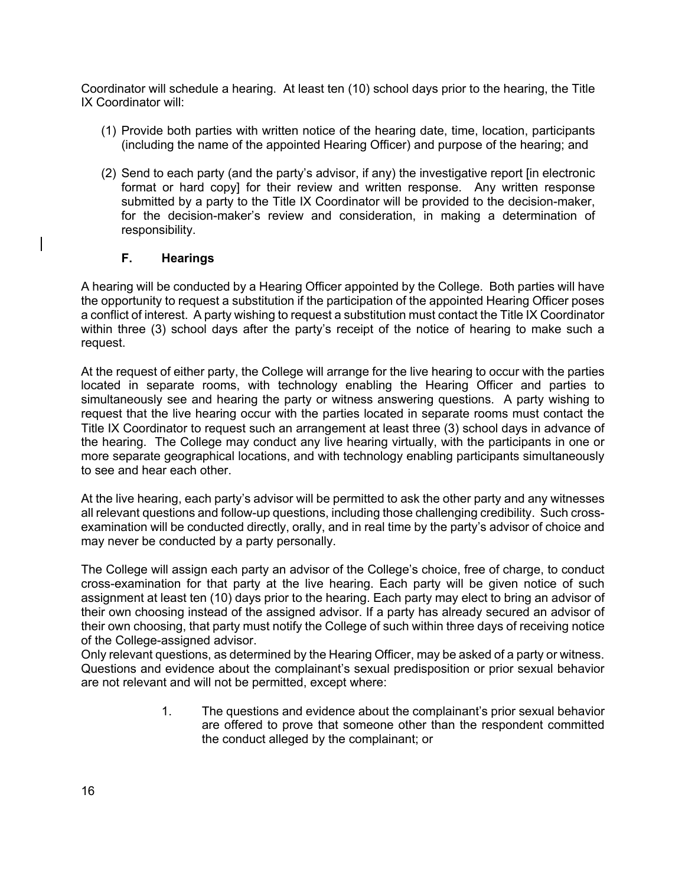Coordinator will schedule a hearing. At least ten (10) school days prior to the hearing, the Title IX Coordinator will:

- (1) Provide both parties with written notice of the hearing date, time, location, participants (including the name of the appointed Hearing Officer) and purpose of the hearing; and
- (2) Send to each party (and the party's advisor, if any) the investigative report [in electronic format or hard copy] for their review and written response. Any written response submitted by a party to the Title IX Coordinator will be provided to the decision-maker, for the decision-maker's review and consideration, in making a determination of responsibility.

### **F. Hearings**

A hearing will be conducted by a Hearing Officer appointed by the College. Both parties will have the opportunity to request a substitution if the participation of the appointed Hearing Officer poses a conflict of interest. A party wishing to request a substitution must contact the Title IX Coordinator within three (3) school days after the party's receipt of the notice of hearing to make such a request.

At the request of either party, the College will arrange for the live hearing to occur with the parties located in separate rooms, with technology enabling the Hearing Officer and parties to simultaneously see and hearing the party or witness answering questions. A party wishing to request that the live hearing occur with the parties located in separate rooms must contact the Title IX Coordinator to request such an arrangement at least three (3) school days in advance of the hearing. The College may conduct any live hearing virtually, with the participants in one or more separate geographical locations, and with technology enabling participants simultaneously to see and hear each other.

At the live hearing, each party's advisor will be permitted to ask the other party and any witnesses all relevant questions and follow-up questions, including those challenging credibility. Such crossexamination will be conducted directly, orally, and in real time by the party's advisor of choice and may never be conducted by a party personally.

The College will assign each party an advisor of the College's choice, free of charge, to conduct cross-examination for that party at the live hearing. Each party will be given notice of such assignment at least ten (10) days prior to the hearing. Each party may elect to bring an advisor of their own choosing instead of the assigned advisor. If a party has already secured an advisor of their own choosing, that party must notify the College of such within three days of receiving notice of the College-assigned advisor.

Only relevant questions, as determined by the Hearing Officer, may be asked of a party or witness. Questions and evidence about the complainant's sexual predisposition or prior sexual behavior are not relevant and will not be permitted, except where:

> 1. The questions and evidence about the complainant's prior sexual behavior are offered to prove that someone other than the respondent committed the conduct alleged by the complainant; or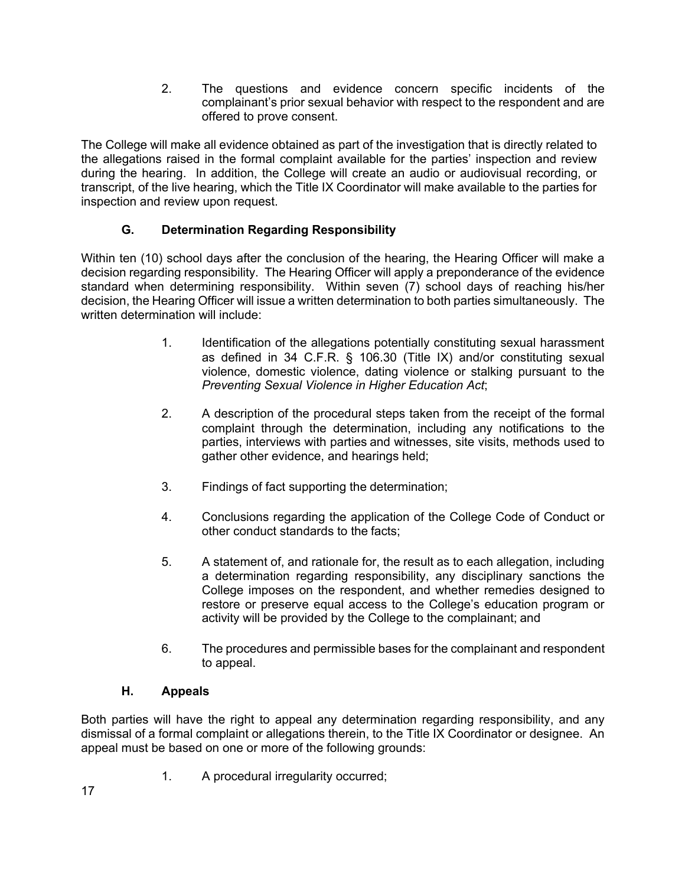2. The questions and evidence concern specific incidents of the complainant's prior sexual behavior with respect to the respondent and are offered to prove consent.

The College will make all evidence obtained as part of the investigation that is directly related to the allegations raised in the formal complaint available for the parties' inspection and review during the hearing. In addition, the College will create an audio or audiovisual recording, or transcript, of the live hearing, which the Title IX Coordinator will make available to the parties for inspection and review upon request.

# **G. Determination Regarding Responsibility**

Within ten (10) school days after the conclusion of the hearing, the Hearing Officer will make a decision regarding responsibility. The Hearing Officer will apply a preponderance of the evidence standard when determining responsibility. Within seven (7) school days of reaching his/her decision, the Hearing Officer will issue a written determination to both parties simultaneously. The written determination will include:

- 1. Identification of the allegations potentially constituting sexual harassment as defined in 34 C.F.R. § 106.30 (Title IX) and/or constituting sexual violence, domestic violence, dating violence or stalking pursuant to the *Preventing Sexual Violence in Higher Education Act*;
- 2. A description of the procedural steps taken from the receipt of the formal complaint through the determination, including any notifications to the parties, interviews with parties and witnesses, site visits, methods used to gather other evidence, and hearings held;
- 3. Findings of fact supporting the determination;
- 4. Conclusions regarding the application of the College Code of Conduct or other conduct standards to the facts;
- 5. A statement of, and rationale for, the result as to each allegation, including a determination regarding responsibility, any disciplinary sanctions the College imposes on the respondent, and whether remedies designed to restore or preserve equal access to the College's education program or activity will be provided by the College to the complainant; and
- 6. The procedures and permissible bases for the complainant and respondent to appeal.

## **H. Appeals**

Both parties will have the right to appeal any determination regarding responsibility, and any dismissal of a formal complaint or allegations therein, to the Title IX Coordinator or designee. An appeal must be based on one or more of the following grounds:

1. A procedural irregularity occurred;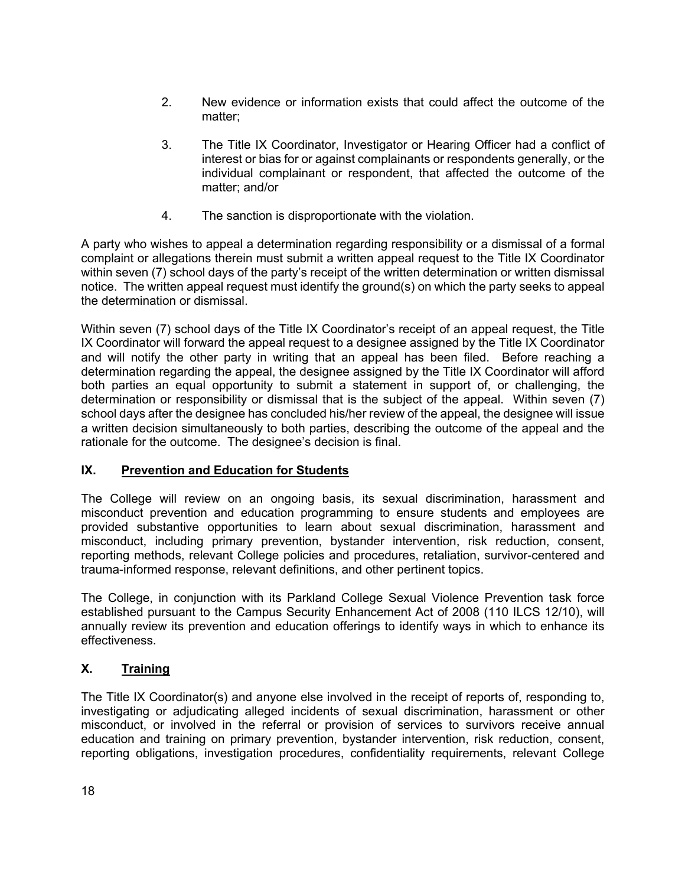- 2. New evidence or information exists that could affect the outcome of the matter;
- 3. The Title IX Coordinator, Investigator or Hearing Officer had a conflict of interest or bias for or against complainants or respondents generally, or the individual complainant or respondent, that affected the outcome of the matter; and/or
- 4. The sanction is disproportionate with the violation.

A party who wishes to appeal a determination regarding responsibility or a dismissal of a formal complaint or allegations therein must submit a written appeal request to the Title IX Coordinator within seven (7) school days of the party's receipt of the written determination or written dismissal notice. The written appeal request must identify the ground(s) on which the party seeks to appeal the determination or dismissal.

Within seven (7) school days of the Title IX Coordinator's receipt of an appeal request, the Title IX Coordinator will forward the appeal request to a designee assigned by the Title IX Coordinator and will notify the other party in writing that an appeal has been filed. Before reaching a determination regarding the appeal, the designee assigned by the Title IX Coordinator will afford both parties an equal opportunity to submit a statement in support of, or challenging, the determination or responsibility or dismissal that is the subject of the appeal. Within seven (7) school days after the designee has concluded his/her review of the appeal, the designee will issue a written decision simultaneously to both parties, describing the outcome of the appeal and the rationale for the outcome. The designee's decision is final.

### **IX. Prevention and Education for Students**

The College will review on an ongoing basis, its sexual discrimination, harassment and misconduct prevention and education programming to ensure students and employees are provided substantive opportunities to learn about sexual discrimination, harassment and misconduct, including primary prevention, bystander intervention, risk reduction, consent, reporting methods, relevant College policies and procedures, retaliation, survivor-centered and trauma-informed response, relevant definitions, and other pertinent topics.

The College, in conjunction with its Parkland College Sexual Violence Prevention task force established pursuant to the Campus Security Enhancement Act of 2008 (110 ILCS 12/10), will annually review its prevention and education offerings to identify ways in which to enhance its effectiveness.

## **X. Training**

The Title IX Coordinator(s) and anyone else involved in the receipt of reports of, responding to, investigating or adjudicating alleged incidents of sexual discrimination, harassment or other misconduct, or involved in the referral or provision of services to survivors receive annual education and training on primary prevention, bystander intervention, risk reduction, consent, reporting obligations, investigation procedures, confidentiality requirements, relevant College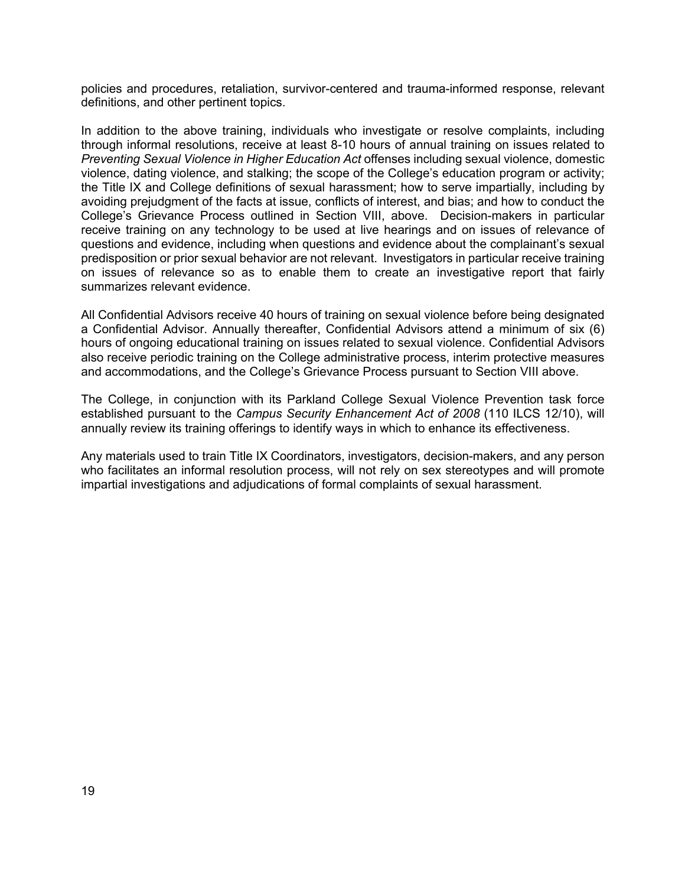policies and procedures, retaliation, survivor-centered and trauma-informed response, relevant definitions, and other pertinent topics.

In addition to the above training, individuals who investigate or resolve complaints, including through informal resolutions, receive at least 8-10 hours of annual training on issues related to *Preventing Sexual Violence in Higher Education Act* offenses including sexual violence, domestic violence, dating violence, and stalking; the scope of the College's education program or activity; the Title IX and College definitions of sexual harassment; how to serve impartially, including by avoiding prejudgment of the facts at issue, conflicts of interest, and bias; and how to conduct the College's Grievance Process outlined in Section VIII, above. Decision-makers in particular receive training on any technology to be used at live hearings and on issues of relevance of questions and evidence, including when questions and evidence about the complainant's sexual predisposition or prior sexual behavior are not relevant. Investigators in particular receive training on issues of relevance so as to enable them to create an investigative report that fairly summarizes relevant evidence.

All Confidential Advisors receive 40 hours of training on sexual violence before being designated a Confidential Advisor. Annually thereafter, Confidential Advisors attend a minimum of six (6) hours of ongoing educational training on issues related to sexual violence. Confidential Advisors also receive periodic training on the College administrative process, interim protective measures and accommodations, and the College's Grievance Process pursuant to Section VIII above.

The College, in conjunction with its Parkland College Sexual Violence Prevention task force established pursuant to the *Campus Security Enhancement Act of 2008* (110 ILCS 12/10), will annually review its training offerings to identify ways in which to enhance its effectiveness.

Any materials used to train Title IX Coordinators, investigators, decision-makers, and any person who facilitates an informal resolution process, will not rely on sex stereotypes and will promote impartial investigations and adjudications of formal complaints of sexual harassment.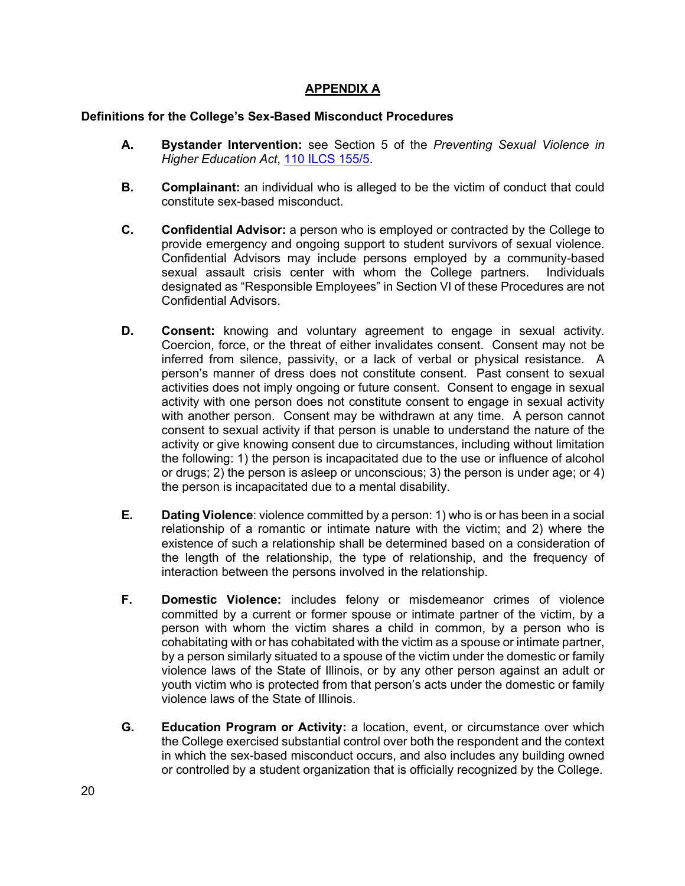### **APPENDIX A**

#### **Definitions for the College's Sex-Based Misconduct Procedures**

- **A. Bystander Intervention:** see Section 5 of the *Preventing Sexual Violence in Higher Education Act*, 110 ILCS 155/5.
- **B. Complainant:** an individual who is alleged to be the victim of conduct that could constitute sex-based misconduct.
- **C. Confidential Advisor:** a person who is employed or contracted by the College to provide emergency and ongoing support to student survivors of sexual violence. Confidential Advisors may include persons employed by a community-based sexual assault crisis center with whom the College partners. Individuals designated as "Responsible Employees" in Section VI of these Procedures are not Confidential Advisors.
- **D. Consent:** knowing and voluntary agreement to engage in sexual activity. Coercion, force, or the threat of either invalidates consent. Consent may not be inferred from silence, passivity, or a lack of verbal or physical resistance. A person's manner of dress does not constitute consent. Past consent to sexual activities does not imply ongoing or future consent. Consent to engage in sexual activity with one person does not constitute consent to engage in sexual activity with another person. Consent may be withdrawn at any time. A person cannot consent to sexual activity if that person is unable to understand the nature of the activity or give knowing consent due to circumstances, including without limitation the following: 1) the person is incapacitated due to the use or influence of alcohol or drugs; 2) the person is asleep or unconscious; 3) the person is under age; or 4) the person is incapacitated due to a mental disability.
- **E. Dating Violence**: violence committed by a person: 1) who is or has been in a social relationship of a romantic or intimate nature with the victim; and 2) where the existence of such a relationship shall be determined based on a consideration of the length of the relationship, the type of relationship, and the frequency of interaction between the persons involved in the relationship.
- **F. Domestic Violence:** includes felony or misdemeanor crimes of violence committed by a current or former spouse or intimate partner of the victim, by a person with whom the victim shares a child in common, by a person who is cohabitating with or has cohabitated with the victim as a spouse or intimate partner, by a person similarly situated to a spouse of the victim under the domestic or family violence laws of the State of Illinois, or by any other person against an adult or youth victim who is protected from that person's acts under the domestic or family violence laws of the State of Illinois.
- **G. Education Program or Activity:** a location, event, or circumstance over which the College exercised substantial control over both the respondent and the context in which the sex-based misconduct occurs, and also includes any building owned or controlled by a student organization that is officially recognized by the College.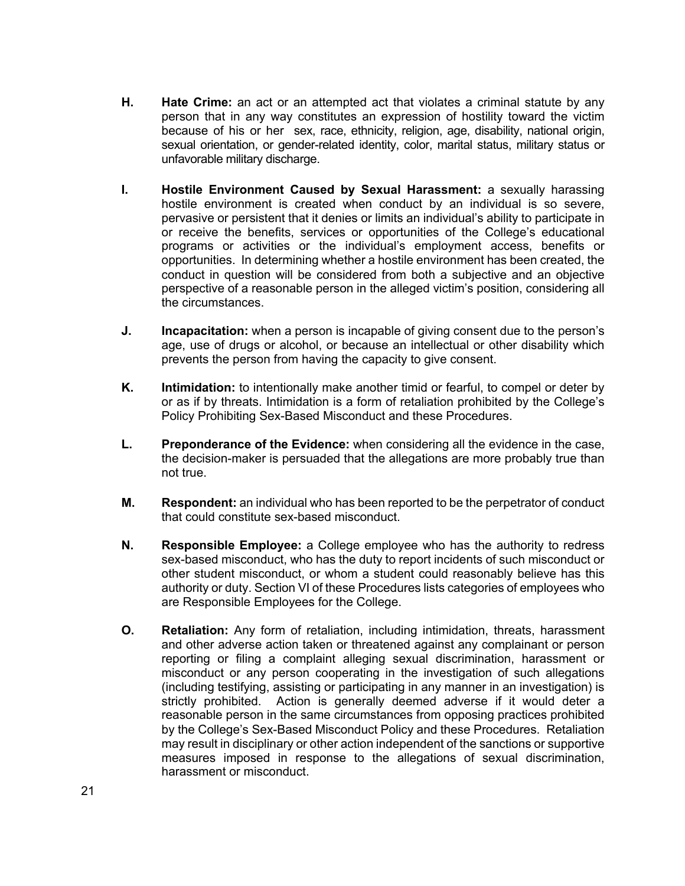- **H. Hate Crime:** an act or an attempted act that violates a criminal statute by any person that in any way constitutes an expression of hostility toward the victim because of his or her sex, race, ethnicity, religion, age, disability, national origin, sexual orientation, or gender-related identity, color, marital status, military status or unfavorable military discharge.
- **I. Hostile Environment Caused by Sexual Harassment:** a sexually harassing hostile environment is created when conduct by an individual is so severe, pervasive or persistent that it denies or limits an individual's ability to participate in or receive the benefits, services or opportunities of the College's educational programs or activities or the individual's employment access, benefits or opportunities. In determining whether a hostile environment has been created, the conduct in question will be considered from both a subjective and an objective perspective of a reasonable person in the alleged victim's position, considering all the circumstances.
- **J. Incapacitation:** when a person is incapable of giving consent due to the person's age, use of drugs or alcohol, or because an intellectual or other disability which prevents the person from having the capacity to give consent.
- **K. Intimidation:** to intentionally make another timid or fearful, to compel or deter by or as if by threats. Intimidation is a form of retaliation prohibited by the College's Policy Prohibiting Sex-Based Misconduct and these Procedures.
- **L. Preponderance of the Evidence:** when considering all the evidence in the case, the decision-maker is persuaded that the allegations are more probably true than not true.
- **M. Respondent:** an individual who has been reported to be the perpetrator of conduct that could constitute sex-based misconduct.
- **N. Responsible Employee:** a College employee who has the authority to redress sex-based misconduct, who has the duty to report incidents of such misconduct or other student misconduct, or whom a student could reasonably believe has this authority or duty. Section VI of these Procedures lists categories of employees who are Responsible Employees for the College.
- **O. Retaliation:** Any form of retaliation, including intimidation, threats, harassment and other adverse action taken or threatened against any complainant or person reporting or filing a complaint alleging sexual discrimination, harassment or misconduct or any person cooperating in the investigation of such allegations (including testifying, assisting or participating in any manner in an investigation) is strictly prohibited. Action is generally deemed adverse if it would deter a reasonable person in the same circumstances from opposing practices prohibited by the College's Sex-Based Misconduct Policy and these Procedures. Retaliation may result in disciplinary or other action independent of the sanctions or supportive measures imposed in response to the allegations of sexual discrimination, harassment or misconduct.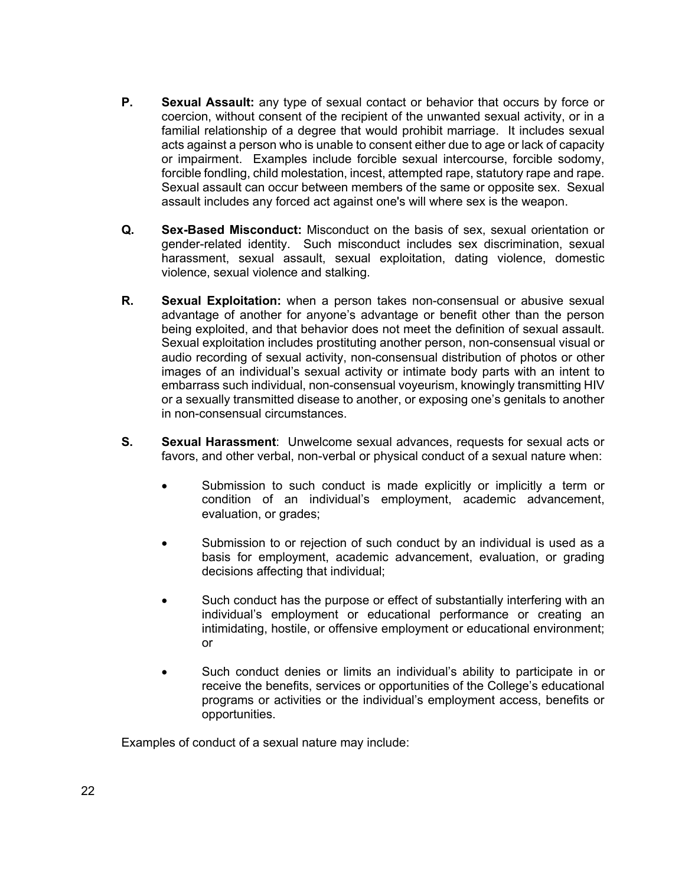- **P. Sexual Assault:** any type of sexual contact or behavior that occurs by force or coercion, without consent of the recipient of the unwanted sexual activity, or in a familial relationship of a degree that would prohibit marriage. It includes sexual acts against a person who is unable to consent either due to age or lack of capacity or impairment. Examples include forcible sexual intercourse, forcible sodomy, forcible fondling, child molestation, incest, attempted rape, statutory rape and rape. Sexual assault can occur between members of the same or opposite sex. Sexual assault includes any forced act against one's will where sex is the weapon.
- **Q. Sex-Based Misconduct:** Misconduct on the basis of sex, sexual orientation or gender-related identity. Such misconduct includes sex discrimination, sexual harassment, sexual assault, sexual exploitation, dating violence, domestic violence, sexual violence and stalking.
- **R. Sexual Exploitation:** when a person takes non-consensual or abusive sexual advantage of another for anyone's advantage or benefit other than the person being exploited, and that behavior does not meet the definition of sexual assault. Sexual exploitation includes prostituting another person, non-consensual visual or audio recording of sexual activity, non-consensual distribution of photos or other images of an individual's sexual activity or intimate body parts with an intent to embarrass such individual, non-consensual voyeurism, knowingly transmitting HIV or a sexually transmitted disease to another, or exposing one's genitals to another in non-consensual circumstances.
- **S. Sexual Harassment**: Unwelcome sexual advances, requests for sexual acts or favors, and other verbal, non-verbal or physical conduct of a sexual nature when:
	- Submission to such conduct is made explicitly or implicitly a term or condition of an individual's employment, academic advancement, evaluation, or grades;
	- Submission to or rejection of such conduct by an individual is used as a basis for employment, academic advancement, evaluation, or grading decisions affecting that individual;
	- Such conduct has the purpose or effect of substantially interfering with an individual's employment or educational performance or creating an intimidating, hostile, or offensive employment or educational environment; or
	- Such conduct denies or limits an individual's ability to participate in or receive the benefits, services or opportunities of the College's educational programs or activities or the individual's employment access, benefits or opportunities.

Examples of conduct of a sexual nature may include: